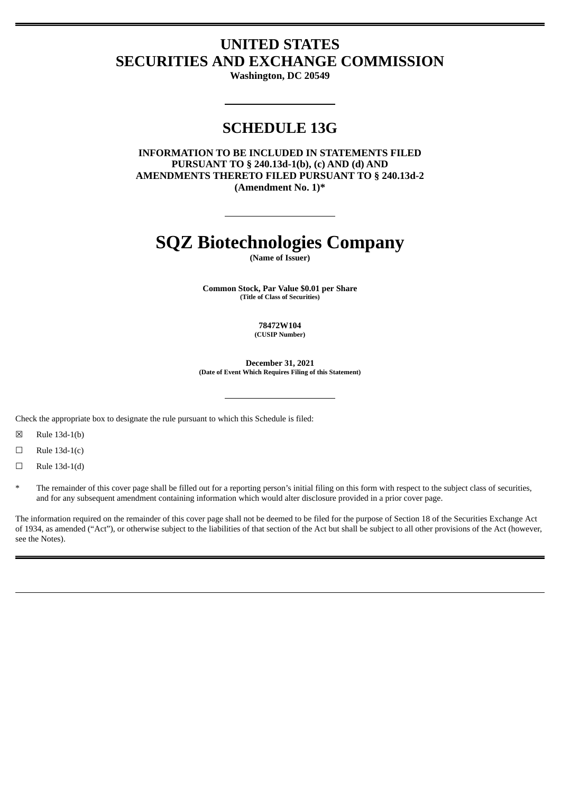# **UNITED STATES SECURITIES AND EXCHANGE COMMISSION**

**Washington, DC 20549**

## **SCHEDULE 13G**

**INFORMATION TO BE INCLUDED IN STATEMENTS FILED PURSUANT TO § 240.13d-1(b), (c) AND (d) AND AMENDMENTS THERETO FILED PURSUANT TO § 240.13d-2 (Amendment No. 1)\***

# **SQZ Biotechnologies Company**

**(Name of Issuer)**

**Common Stock, Par Value \$0.01 per Share (Title of Class of Securities)**

> **78472W104 (CUSIP Number)**

**December 31, 2021 (Date of Event Which Requires Filing of this Statement)**

Check the appropriate box to designate the rule pursuant to which this Schedule is filed:

☒ Rule 13d-1(b)

 $\Box$  Rule 13d-1(c)

 $\Box$  Rule 13d-1(d)

The remainder of this cover page shall be filled out for a reporting person's initial filing on this form with respect to the subject class of securities, and for any subsequent amendment containing information which would alter disclosure provided in a prior cover page.

The information required on the remainder of this cover page shall not be deemed to be filed for the purpose of Section 18 of the Securities Exchange Act of 1934, as amended ("Act"), or otherwise subject to the liabilities of that section of the Act but shall be subject to all other provisions of the Act (however, see the Notes).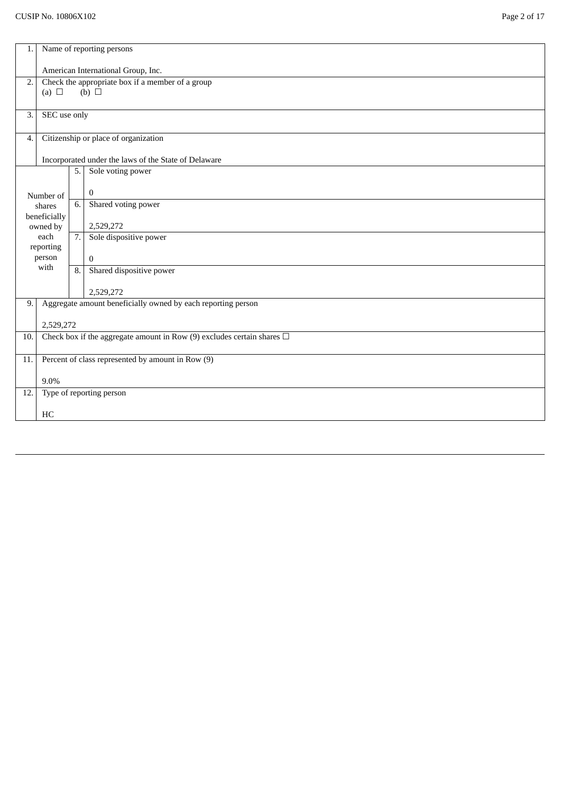| 1.  |                                                                             |    | Name of reporting persons                                      |
|-----|-----------------------------------------------------------------------------|----|----------------------------------------------------------------|
|     |                                                                             |    | American International Group, Inc.                             |
| 2.  | (a) $\Box$                                                                  |    | Check the appropriate box if a member of a group<br>(b) $\Box$ |
| 3.  | SEC use only                                                                |    |                                                                |
| 4.  |                                                                             |    | Citizenship or place of organization                           |
|     |                                                                             |    | Incorporated under the laws of the State of Delaware           |
|     |                                                                             | 5. | Sole voting power                                              |
|     | Number of                                                                   |    | $\bf{0}$                                                       |
|     | shares<br>beneficially                                                      | 6. | Shared voting power                                            |
|     | owned by                                                                    |    | 2,529,272                                                      |
|     | each<br>reporting                                                           | 7. | Sole dispositive power                                         |
|     | person                                                                      |    | $\mathbf{0}$                                                   |
|     | with                                                                        | 8. | Shared dispositive power                                       |
|     |                                                                             |    | 2,529,272                                                      |
| 9.  |                                                                             |    | Aggregate amount beneficially owned by each reporting person   |
|     | 2,529,272                                                                   |    |                                                                |
| 10. | Check box if the aggregate amount in Row (9) excludes certain shares $\Box$ |    |                                                                |
| 11. |                                                                             |    | Percent of class represented by amount in Row (9)              |
|     | 9.0%                                                                        |    |                                                                |
| 12. |                                                                             |    | Type of reporting person                                       |
|     | HC                                                                          |    |                                                                |
|     |                                                                             |    |                                                                |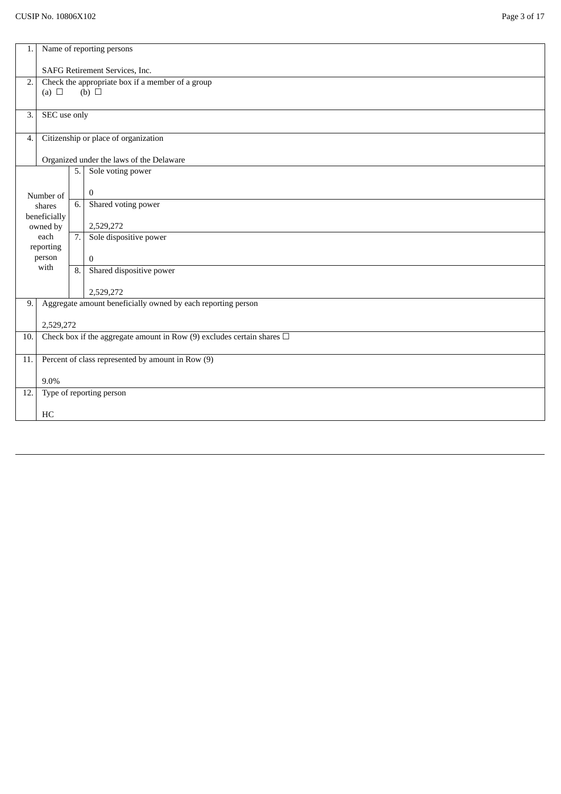| 1.  |                                                                                    |                  | Name of reporting persons                                      |  |
|-----|------------------------------------------------------------------------------------|------------------|----------------------------------------------------------------|--|
|     | SAFG Retirement Services, Inc.                                                     |                  |                                                                |  |
| 2.  | (a) $\Box$                                                                         |                  | Check the appropriate box if a member of a group<br>(b) $\Box$ |  |
|     |                                                                                    |                  |                                                                |  |
| 3.  | SEC use only                                                                       |                  |                                                                |  |
| 4.  |                                                                                    |                  | Citizenship or place of organization                           |  |
|     |                                                                                    |                  | Organized under the laws of the Delaware                       |  |
|     |                                                                                    | 5.               | Sole voting power                                              |  |
|     | Number of                                                                          |                  | $\bf{0}$                                                       |  |
|     | shares<br>beneficially                                                             | 6.               | Shared voting power                                            |  |
|     | owned by                                                                           |                  | 2,529,272                                                      |  |
|     | each<br>reporting                                                                  | 7.               | Sole dispositive power                                         |  |
|     | person<br>with                                                                     |                  | $\mathbf{0}$                                                   |  |
|     |                                                                                    | $\overline{8}$ . | Shared dispositive power                                       |  |
|     |                                                                                    |                  | 2,529,272                                                      |  |
| 9.  |                                                                                    |                  | Aggregate amount beneficially owned by each reporting person   |  |
|     | 2,529,272                                                                          |                  |                                                                |  |
|     | Check box if the aggregate amount in Row (9) excludes certain shares $\Box$<br>10. |                  |                                                                |  |
| 11. | Percent of class represented by amount in Row (9)                                  |                  |                                                                |  |
|     | 9.0%                                                                               |                  |                                                                |  |
| 12. |                                                                                    |                  | Type of reporting person                                       |  |
|     | HC                                                                                 |                  |                                                                |  |
|     |                                                                                    |                  |                                                                |  |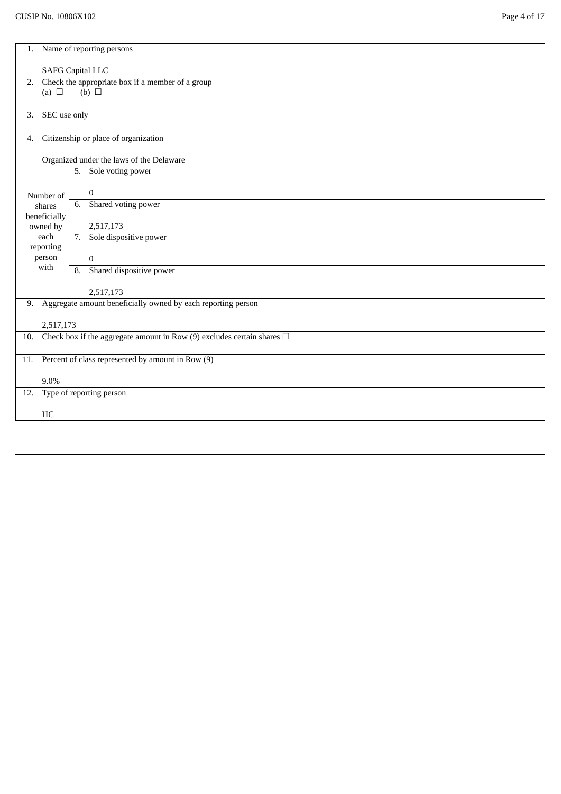| 1.  | Name of reporting persons |     |                                                                             |  |
|-----|---------------------------|-----|-----------------------------------------------------------------------------|--|
|     | <b>SAFG Capital LLC</b>   |     |                                                                             |  |
| 2.  | (a) $\Box$                |     | Check the appropriate box if a member of a group<br>(b) $\Box$              |  |
|     |                           |     |                                                                             |  |
| 3.  | SEC use only              |     |                                                                             |  |
| 4.  |                           |     | Citizenship or place of organization                                        |  |
|     |                           |     | Organized under the laws of the Delaware                                    |  |
|     |                           | 5.  | Sole voting power                                                           |  |
|     | Number of                 |     | $\mathbf{0}$                                                                |  |
|     | shares<br>beneficially    | 6.  | Shared voting power                                                         |  |
|     | owned by                  |     | 2,517,173                                                                   |  |
|     | each<br>reporting         | 7.1 | Sole dispositive power                                                      |  |
|     | person                    |     | $\mathbf{0}$                                                                |  |
|     | with                      | 8.  | Shared dispositive power                                                    |  |
|     |                           |     | 2,517,173                                                                   |  |
| 9.  |                           |     | Aggregate amount beneficially owned by each reporting person                |  |
|     | 2,517,173                 |     |                                                                             |  |
| 10. |                           |     | Check box if the aggregate amount in Row (9) excludes certain shares $\Box$ |  |
| 11. |                           |     | Percent of class represented by amount in Row (9)                           |  |
|     | 9.0%                      |     |                                                                             |  |
| 12. |                           |     | Type of reporting person                                                    |  |
|     | HC                        |     |                                                                             |  |
|     |                           |     |                                                                             |  |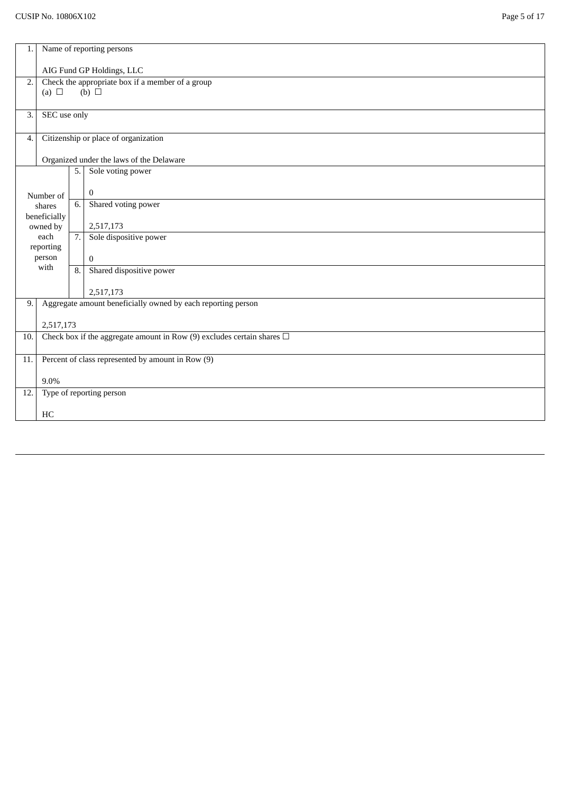| 1.               | Name of reporting persons                                                   |                  |                                                              |  |  |
|------------------|-----------------------------------------------------------------------------|------------------|--------------------------------------------------------------|--|--|
|                  | AIG Fund GP Holdings, LLC                                                   |                  |                                                              |  |  |
| $\overline{2}$ . |                                                                             |                  | Check the appropriate box if a member of a group             |  |  |
|                  | (a) $\Box$                                                                  |                  | (b) $\Box$                                                   |  |  |
| 3.               | SEC use only                                                                |                  |                                                              |  |  |
| 4.               |                                                                             |                  | Citizenship or place of organization                         |  |  |
|                  |                                                                             |                  | Organized under the laws of the Delaware                     |  |  |
|                  |                                                                             | 5.               | Sole voting power                                            |  |  |
|                  | Number of                                                                   |                  | $\bf{0}$                                                     |  |  |
|                  | shares                                                                      | 6.               | Shared voting power                                          |  |  |
|                  | beneficially<br>owned by                                                    |                  | 2,517,173                                                    |  |  |
|                  | each<br>reporting                                                           | 7.               | Sole dispositive power                                       |  |  |
|                  | person                                                                      |                  | $\bf{0}$                                                     |  |  |
|                  | with                                                                        | $\overline{8}$ . | Shared dispositive power                                     |  |  |
|                  |                                                                             |                  | 2,517,173                                                    |  |  |
| 9.               |                                                                             |                  | Aggregate amount beneficially owned by each reporting person |  |  |
|                  | 2,517,173                                                                   |                  |                                                              |  |  |
| 10.              | Check box if the aggregate amount in Row (9) excludes certain shares $\Box$ |                  |                                                              |  |  |
| 11.              | Percent of class represented by amount in Row (9)                           |                  |                                                              |  |  |
|                  | 9.0%                                                                        |                  |                                                              |  |  |
| 12.              |                                                                             |                  | Type of reporting person                                     |  |  |
|                  | HC                                                                          |                  |                                                              |  |  |
|                  |                                                                             |                  |                                                              |  |  |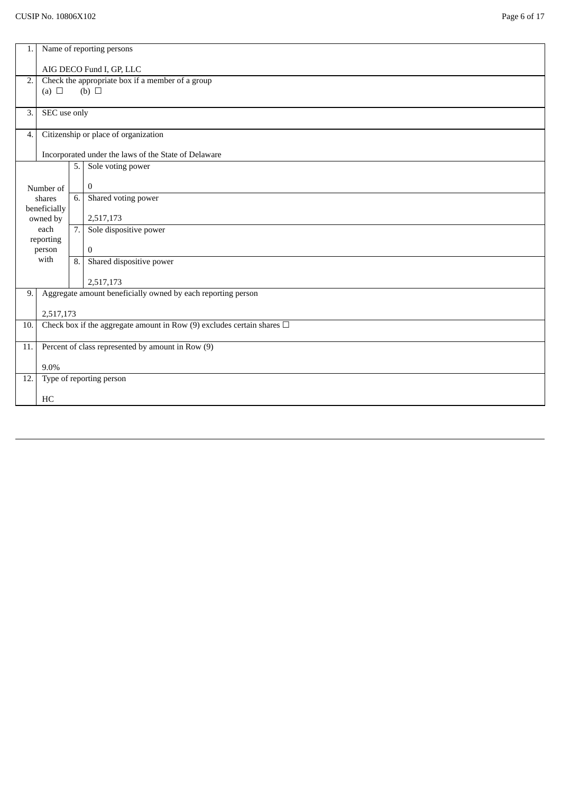| 1.                | Name of reporting persons                                                   |     |                                                              |  |  |
|-------------------|-----------------------------------------------------------------------------|-----|--------------------------------------------------------------|--|--|
|                   | AIG DECO Fund I, GP, LLC                                                    |     |                                                              |  |  |
| 2.                |                                                                             |     | Check the appropriate box if a member of a group             |  |  |
|                   | (a) $\Box$                                                                  |     | $(b)$ $\square$                                              |  |  |
| 3.                | SEC use only                                                                |     |                                                              |  |  |
| 4.                |                                                                             |     | Citizenship or place of organization                         |  |  |
|                   |                                                                             |     | Incorporated under the laws of the State of Delaware         |  |  |
|                   |                                                                             | 5.1 | Sole voting power                                            |  |  |
|                   | Number of                                                                   |     | $\boldsymbol{0}$                                             |  |  |
|                   | shares                                                                      | 6.  | Shared voting power                                          |  |  |
|                   | beneficially<br>owned by                                                    |     | 2,517,173                                                    |  |  |
|                   | each                                                                        | 7.  | Sole dispositive power                                       |  |  |
|                   | reporting<br>person                                                         |     | $\mathbf{0}$                                                 |  |  |
|                   | with                                                                        |     | Shared dispositive power<br>8.1                              |  |  |
| 2,517,173         |                                                                             |     |                                                              |  |  |
| 9.                |                                                                             |     | Aggregate amount beneficially owned by each reporting person |  |  |
|                   | 2,517,173                                                                   |     |                                                              |  |  |
| 10.               | Check box if the aggregate amount in Row (9) excludes certain shares $\Box$ |     |                                                              |  |  |
| 11.               | Percent of class represented by amount in Row (9)                           |     |                                                              |  |  |
|                   | 9.0%                                                                        |     |                                                              |  |  |
| $\overline{12}$ . |                                                                             |     | Type of reporting person                                     |  |  |
|                   | HC                                                                          |     |                                                              |  |  |
|                   |                                                                             |     |                                                              |  |  |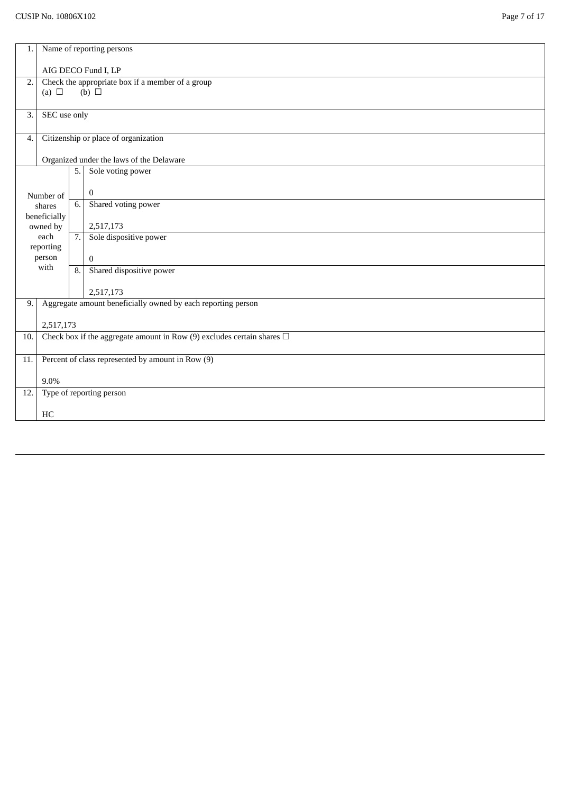| 1.  | Name of reporting persons |     |                                                                             |  |
|-----|---------------------------|-----|-----------------------------------------------------------------------------|--|
|     | AIG DECO Fund I, LP       |     |                                                                             |  |
| 2.  | (a) $\Box$                |     | Check the appropriate box if a member of a group<br>$(b)$ $\square$         |  |
|     |                           |     |                                                                             |  |
| 3.  | SEC use only              |     |                                                                             |  |
| 4.  |                           |     | Citizenship or place of organization                                        |  |
|     |                           |     | Organized under the laws of the Delaware                                    |  |
|     |                           | 5.  | Sole voting power                                                           |  |
|     | Number of                 |     | $\mathbf{0}$                                                                |  |
|     | shares<br>beneficially    | 6.  | Shared voting power                                                         |  |
|     | owned by                  |     | 2,517,173                                                                   |  |
|     | each<br>reporting         | 7.1 | Sole dispositive power                                                      |  |
|     | person<br>with            |     | $\overline{0}$                                                              |  |
|     |                           | 8.  | Shared dispositive power                                                    |  |
|     |                           |     | 2,517,173                                                                   |  |
| 9.  |                           |     | Aggregate amount beneficially owned by each reporting person                |  |
|     | 2,517,173                 |     |                                                                             |  |
| 10. |                           |     | Check box if the aggregate amount in Row (9) excludes certain shares $\Box$ |  |
| 11. |                           |     | Percent of class represented by amount in Row (9)                           |  |
|     | 9.0%                      |     |                                                                             |  |
| 12. |                           |     | Type of reporting person                                                    |  |
|     | HC                        |     |                                                                             |  |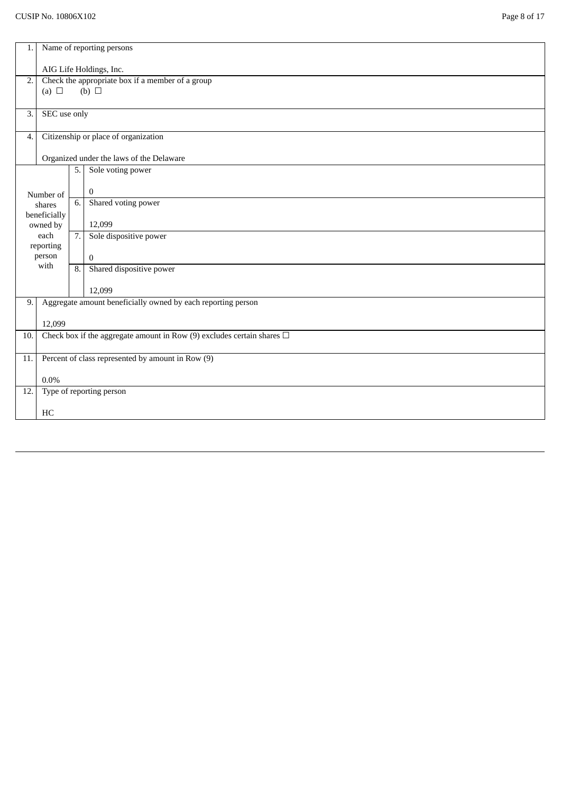| 1.  | Name of reporting persons                         |     |                                                                             |  |  |
|-----|---------------------------------------------------|-----|-----------------------------------------------------------------------------|--|--|
|     | AIG Life Holdings, Inc.                           |     |                                                                             |  |  |
| 2.  | (a) $\Box$                                        |     | Check the appropriate box if a member of a group<br>$(b)$ $\square$         |  |  |
| 3.  | SEC use only                                      |     |                                                                             |  |  |
| 4.  |                                                   |     | Citizenship or place of organization                                        |  |  |
|     |                                                   |     | Organized under the laws of the Delaware                                    |  |  |
|     |                                                   | 5.1 | Sole voting power                                                           |  |  |
|     | Number of                                         |     | $\mathbf{0}$                                                                |  |  |
|     | shares                                            | 6.  | Shared voting power                                                         |  |  |
|     | beneficially<br>owned by                          |     | 12,099                                                                      |  |  |
|     | each                                              | 7.1 | Sole dispositive power                                                      |  |  |
|     | reporting                                         |     |                                                                             |  |  |
|     | person<br>with                                    |     | $\theta$                                                                    |  |  |
|     |                                                   | 8.1 | Shared dispositive power                                                    |  |  |
|     |                                                   |     | 12,099                                                                      |  |  |
| 9.  |                                                   |     | Aggregate amount beneficially owned by each reporting person                |  |  |
|     | 12,099                                            |     |                                                                             |  |  |
| 10. |                                                   |     | Check box if the aggregate amount in Row (9) excludes certain shares $\Box$ |  |  |
|     |                                                   |     |                                                                             |  |  |
| 11. | Percent of class represented by amount in Row (9) |     |                                                                             |  |  |
|     | $0.0\%$                                           |     |                                                                             |  |  |
| 12. |                                                   |     | Type of reporting person                                                    |  |  |
|     | HC                                                |     |                                                                             |  |  |
|     |                                                   |     |                                                                             |  |  |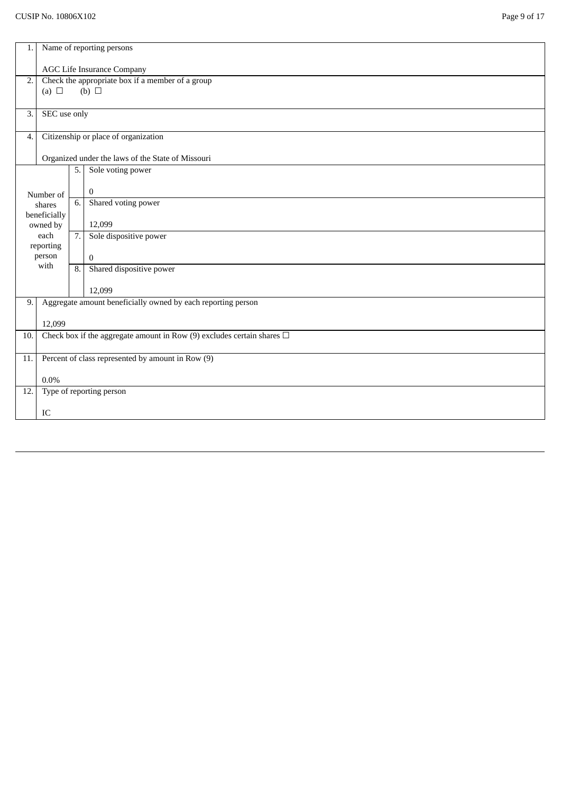| 1.  | Name of reporting persons                                                   |    |                                                                     |  |  |
|-----|-----------------------------------------------------------------------------|----|---------------------------------------------------------------------|--|--|
|     | <b>AGC Life Insurance Company</b>                                           |    |                                                                     |  |  |
| 2.  |                                                                             |    | Check the appropriate box if a member of a group<br>$(b)$ $\square$ |  |  |
|     | (a) $\Box$                                                                  |    |                                                                     |  |  |
| 3.  | SEC use only                                                                |    |                                                                     |  |  |
| 4.  |                                                                             |    | Citizenship or place of organization                                |  |  |
|     |                                                                             |    | Organized under the laws of the State of Missouri                   |  |  |
|     |                                                                             | 5. | Sole voting power                                                   |  |  |
|     | Number of                                                                   |    | $\bf{0}$                                                            |  |  |
|     | shares                                                                      | 6. | Shared voting power                                                 |  |  |
|     | beneficially<br>owned by                                                    |    | 12,099                                                              |  |  |
|     | each<br>reporting                                                           | 7. | Sole dispositive power                                              |  |  |
|     | person                                                                      |    | $\boldsymbol{0}$                                                    |  |  |
|     | with                                                                        | 8. | Shared dispositive power                                            |  |  |
|     |                                                                             |    | 12,099                                                              |  |  |
| 9.  |                                                                             |    | Aggregate amount beneficially owned by each reporting person        |  |  |
|     | 12,099                                                                      |    |                                                                     |  |  |
| 10. | Check box if the aggregate amount in Row (9) excludes certain shares $\Box$ |    |                                                                     |  |  |
| 11. | Percent of class represented by amount in Row (9)                           |    |                                                                     |  |  |
|     | $0.0\%$                                                                     |    |                                                                     |  |  |
| 12. |                                                                             |    | Type of reporting person                                            |  |  |
|     | IC                                                                          |    |                                                                     |  |  |
|     |                                                                             |    |                                                                     |  |  |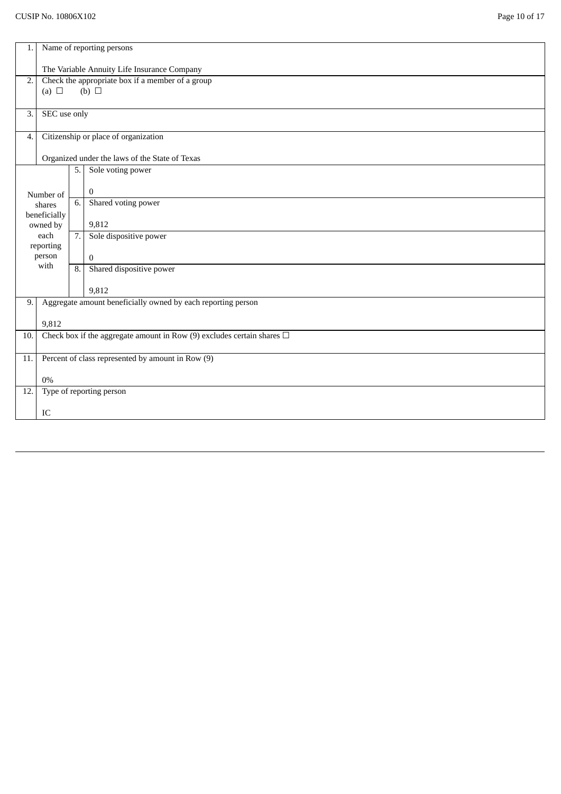| 1.    | Name of reporting persons                                                   |    |                                                                |  |  |
|-------|-----------------------------------------------------------------------------|----|----------------------------------------------------------------|--|--|
|       | The Variable Annuity Life Insurance Company                                 |    |                                                                |  |  |
| 2.    | (a) $\Box$                                                                  |    | Check the appropriate box if a member of a group<br>(b) $\Box$ |  |  |
| 3.    | SEC use only                                                                |    |                                                                |  |  |
| 4.    |                                                                             |    | Citizenship or place of organization                           |  |  |
|       |                                                                             |    | Organized under the laws of the State of Texas                 |  |  |
|       |                                                                             | 5. | Sole voting power                                              |  |  |
|       | Number of                                                                   |    | $\bf{0}$                                                       |  |  |
|       | shares                                                                      | 6. | Shared voting power                                            |  |  |
|       | beneficially<br>owned by                                                    |    | 9,812                                                          |  |  |
|       | each                                                                        | 7. | Sole dispositive power                                         |  |  |
|       | reporting<br>person                                                         |    | $\overline{0}$                                                 |  |  |
|       | with                                                                        |    | Shared dispositive power<br>8.                                 |  |  |
| 9,812 |                                                                             |    |                                                                |  |  |
| 9.    |                                                                             |    | Aggregate amount beneficially owned by each reporting person   |  |  |
|       | 9,812                                                                       |    |                                                                |  |  |
| 10.   | Check box if the aggregate amount in Row (9) excludes certain shares $\Box$ |    |                                                                |  |  |
| 11.   | Percent of class represented by amount in Row (9)                           |    |                                                                |  |  |
|       | $0\%$                                                                       |    |                                                                |  |  |
| 12.   |                                                                             |    | Type of reporting person                                       |  |  |
|       | IC                                                                          |    |                                                                |  |  |
|       |                                                                             |    |                                                                |  |  |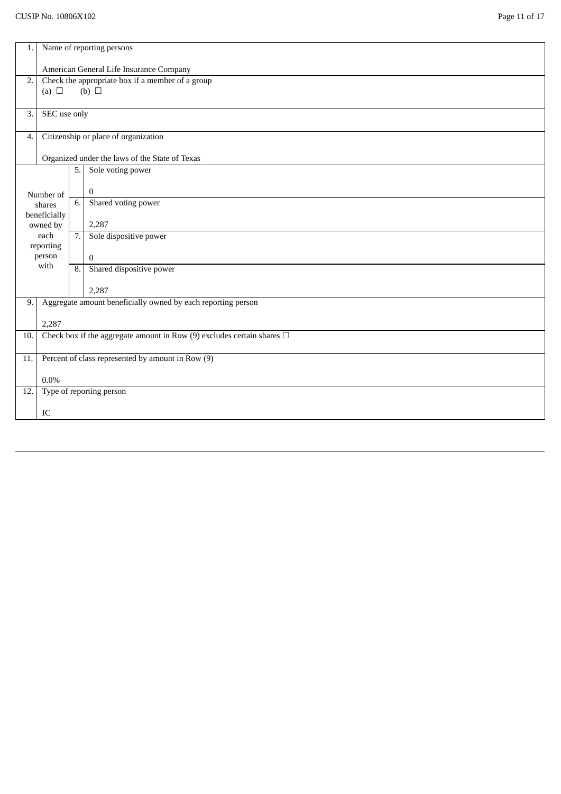| 1.    | Name of reporting persons                                                   |    |                                                                |  |  |
|-------|-----------------------------------------------------------------------------|----|----------------------------------------------------------------|--|--|
|       | American General Life Insurance Company                                     |    |                                                                |  |  |
| 2.    | (a) $\Box$                                                                  |    | Check the appropriate box if a member of a group<br>(b) $\Box$ |  |  |
| 3.    | SEC use only                                                                |    |                                                                |  |  |
| 4.    |                                                                             |    | Citizenship or place of organization                           |  |  |
|       |                                                                             |    | Organized under the laws of the State of Texas                 |  |  |
|       |                                                                             | 5. | Sole voting power                                              |  |  |
|       | Number of                                                                   |    | $\bf{0}$                                                       |  |  |
|       | shares                                                                      | 6. | Shared voting power                                            |  |  |
|       | beneficially<br>owned by                                                    |    | 2,287                                                          |  |  |
|       | each                                                                        | 7. | Sole dispositive power                                         |  |  |
|       | reporting<br>person                                                         |    | $\overline{0}$                                                 |  |  |
|       | with                                                                        |    | Shared dispositive power<br>8.                                 |  |  |
| 2,287 |                                                                             |    |                                                                |  |  |
| 9.    |                                                                             |    | Aggregate amount beneficially owned by each reporting person   |  |  |
|       | 2,287                                                                       |    |                                                                |  |  |
| 10.   | Check box if the aggregate amount in Row (9) excludes certain shares $\Box$ |    |                                                                |  |  |
| 11.   | Percent of class represented by amount in Row (9)                           |    |                                                                |  |  |
|       | $0.0\%$                                                                     |    |                                                                |  |  |
| 12.   |                                                                             |    | Type of reporting person                                       |  |  |
|       | IC                                                                          |    |                                                                |  |  |
|       |                                                                             |    |                                                                |  |  |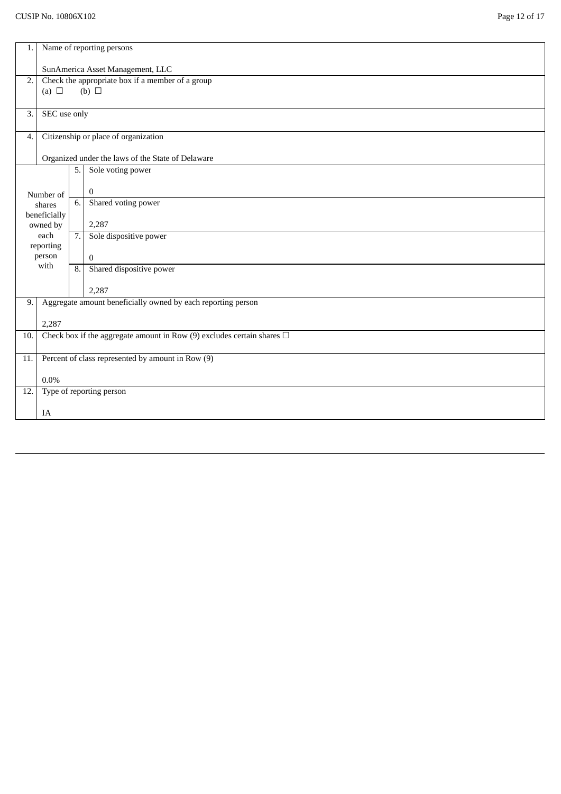| 1.               | Name of reporting persons                                                   |    |                                                              |  |  |
|------------------|-----------------------------------------------------------------------------|----|--------------------------------------------------------------|--|--|
|                  | SunAmerica Asset Management, LLC                                            |    |                                                              |  |  |
| 2.               |                                                                             |    | Check the appropriate box if a member of a group             |  |  |
|                  | (a) $\Box$                                                                  |    | $(b)$ $\square$                                              |  |  |
| $\overline{3}$ . | SEC use only                                                                |    |                                                              |  |  |
| $\overline{4}$ . |                                                                             |    | Citizenship or place of organization                         |  |  |
|                  |                                                                             |    | Organized under the laws of the State of Delaware            |  |  |
|                  |                                                                             | 5. | Sole voting power                                            |  |  |
|                  |                                                                             |    |                                                              |  |  |
|                  | Number of<br>shares                                                         | 6. | $\bf{0}$<br>Shared voting power                              |  |  |
|                  | beneficially                                                                |    |                                                              |  |  |
|                  | owned by                                                                    |    | 2,287                                                        |  |  |
|                  | each<br>reporting                                                           | 7. | Sole dispositive power                                       |  |  |
|                  | person                                                                      |    | $\bf{0}$                                                     |  |  |
|                  | with                                                                        |    | Shared dispositive power<br>8.                               |  |  |
|                  |                                                                             |    | 2,287                                                        |  |  |
| 9.               |                                                                             |    | Aggregate amount beneficially owned by each reporting person |  |  |
|                  | 2,287                                                                       |    |                                                              |  |  |
| 10.              | Check box if the aggregate amount in Row (9) excludes certain shares $\Box$ |    |                                                              |  |  |
| 11.              | Percent of class represented by amount in Row (9)                           |    |                                                              |  |  |
|                  | 0.0%                                                                        |    |                                                              |  |  |
| 12.              |                                                                             |    | Type of reporting person                                     |  |  |
|                  | IA                                                                          |    |                                                              |  |  |
|                  |                                                                             |    |                                                              |  |  |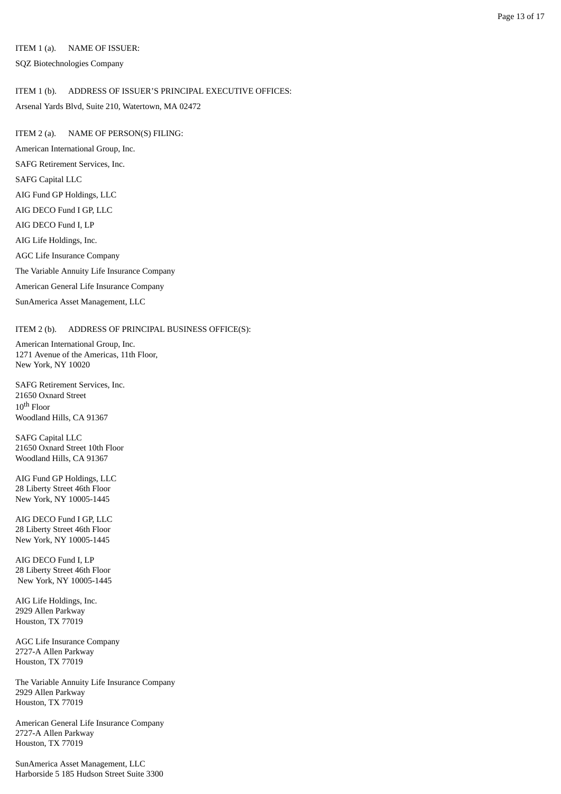### ITEM 1 (a). NAME OF ISSUER:

SQZ Biotechnologies Company

### ITEM 1 (b). ADDRESS OF ISSUER'S PRINCIPAL EXECUTIVE OFFICES:

Arsenal Yards Blvd, Suite 210, Watertown, MA 02472

ITEM 2 (a). NAME OF PERSON(S) FILING: American International Group, Inc. SAFG Retirement Services, Inc. SAFG Capital LLC AIG Fund GP Holdings, LLC AIG DECO Fund I GP, LLC AIG DECO Fund I, LP AIG Life Holdings, Inc. AGC Life Insurance Company The Variable Annuity Life Insurance Company American General Life Insurance Company SunAmerica Asset Management, LLC

### ITEM 2 (b). ADDRESS OF PRINCIPAL BUSINESS OFFICE(S):

American International Group, Inc. 1271 Avenue of the Americas, 11th Floor, New York, NY 10020

SAFG Retirement Services, Inc. 21650 Oxnard Street  $10^{\rm th}$  Floor Woodland Hills, CA 91367

SAFG Capital LLC 21650 Oxnard Street 10th Floor Woodland Hills, CA 91367

AIG Fund GP Holdings, LLC 28 Liberty Street 46th Floor New York, NY 10005-1445

AIG DECO Fund I GP, LLC 28 Liberty Street 46th Floor New York, NY 10005-1445

AIG DECO Fund I, LP 28 Liberty Street 46th Floor New York, NY 10005-1445

AIG Life Holdings, Inc. 2929 Allen Parkway Houston, TX 77019

AGC Life Insurance Company 2727-A Allen Parkway Houston, TX 77019

The Variable Annuity Life Insurance Company 2929 Allen Parkway Houston, TX 77019

American General Life Insurance Company 2727-A Allen Parkway Houston, TX 77019

SunAmerica Asset Management, LLC Harborside 5 185 Hudson Street Suite 3300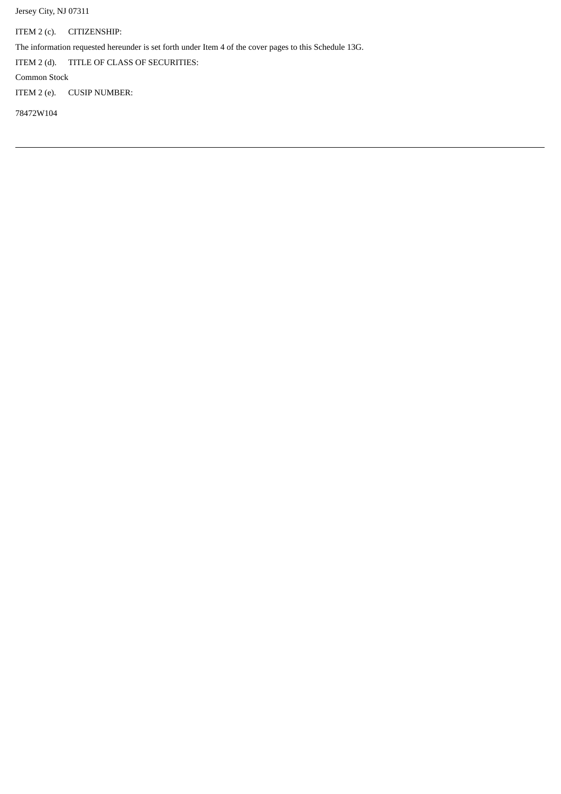Jersey City, NJ 07311

ITEM 2 (c). CITIZENSHIP:

The information requested hereunder is set forth under Item 4 of the cover pages to this Schedule 13G.

ITEM 2 (d). TITLE OF CLASS OF SECURITIES:

Common Stock

ITEM 2 (e). CUSIP NUMBER:

78472W104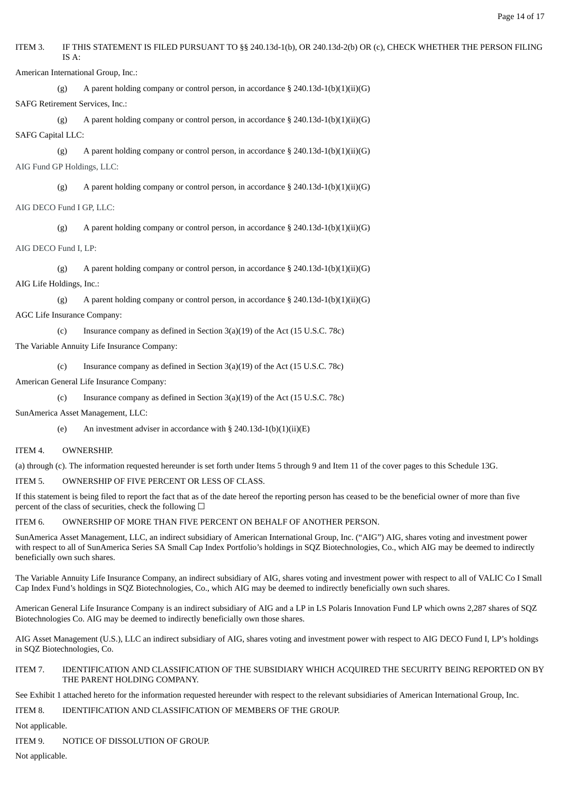ITEM 3. IF THIS STATEMENT IS FILED PURSUANT TO §§ 240.13d-1(b), OR 240.13d-2(b) OR (c), CHECK WHETHER THE PERSON FILING IS A:

American International Group, Inc.:

(g) A parent holding company or control person, in accordance § 240.13d-1(b)(1)(ii)(G) SAFG Retirement Services, Inc.:

(g) A parent holding company or control person, in accordance  $\S 240.13d-1(b)(1)(ii)(G)$ SAFG Capital LLC:

(g) A parent holding company or control person, in accordance § 240.13d-1(b)(1)(ii)(G) AIG Fund GP Holdings, LLC:

(g) A parent holding company or control person, in accordance  $\S 240.13d-1(b)(1)(ii)(G)$ AIG DECO Fund I GP, LLC:

(g) A parent holding company or control person, in accordance § 240.13d-1(b)(1)(ii)(G)

AIG DECO Fund I, LP:

(g) A parent holding company or control person, in accordance  $\S 240.13d-1(b)(1)(ii)(G)$ AIG Life Holdings, Inc.:

(g) A parent holding company or control person, in accordance  $\S 240.13d-1(b)(1)(ii)(G)$ AGC Life Insurance Company:

(c) Insurance company as defined in Section 3(a)(19) of the Act (15 U.S.C. 78c)

The Variable Annuity Life Insurance Company:

(c) Insurance company as defined in Section 3(a)(19) of the Act (15 U.S.C. 78c) American General Life Insurance Company:

(c) Insurance company as defined in Section 3(a)(19) of the Act (15 U.S.C. 78c)

SunAmerica Asset Management, LLC:

(e) An investment adviser in accordance with  $\S$  240.13d-1(b)(1)(ii)(E)

ITEM 4. OWNERSHIP.

(a) through (c). The information requested hereunder is set forth under Items 5 through 9 and Item 11 of the cover pages to this Schedule 13G.

ITEM 5. OWNERSHIP OF FIVE PERCENT OR LESS OF CLASS.

If this statement is being filed to report the fact that as of the date hereof the reporting person has ceased to be the beneficial owner of more than five percent of the class of securities, check the following  $\Box$ 

ITEM 6. OWNERSHIP OF MORE THAN FIVE PERCENT ON BEHALF OF ANOTHER PERSON.

SunAmerica Asset Management, LLC, an indirect subsidiary of American International Group, Inc. ("AIG") AIG, shares voting and investment power with respect to all of SunAmerica Series SA Small Cap Index Portfolio's holdings in SQZ Biotechnologies, Co., which AIG may be deemed to indirectly beneficially own such shares.

The Variable Annuity Life Insurance Company, an indirect subsidiary of AIG, shares voting and investment power with respect to all of VALIC Co I Small Cap Index Fund's holdings in SQZ Biotechnologies, Co., which AIG may be deemed to indirectly beneficially own such shares.

American General Life Insurance Company is an indirect subsidiary of AIG and a LP in LS Polaris Innovation Fund LP which owns 2,287 shares of SQZ Biotechnologies Co. AIG may be deemed to indirectly beneficially own those shares.

AIG Asset Management (U.S.), LLC an indirect subsidiary of AIG, shares voting and investment power with respect to AIG DECO Fund I, LP's holdings in SQZ Biotechnologies, Co.

### ITEM 7. IDENTIFICATION AND CLASSIFICATION OF THE SUBSIDIARY WHICH ACQUIRED THE SECURITY BEING REPORTED ON BY THE PARENT HOLDING COMPANY.

See Exhibit 1 attached hereto for the information requested hereunder with respect to the relevant subsidiaries of American International Group, Inc.

ITEM 8. IDENTIFICATION AND CLASSIFICATION OF MEMBERS OF THE GROUP.

Not applicable.

ITEM 9. NOTICE OF DISSOLUTION OF GROUP.

Not applicable.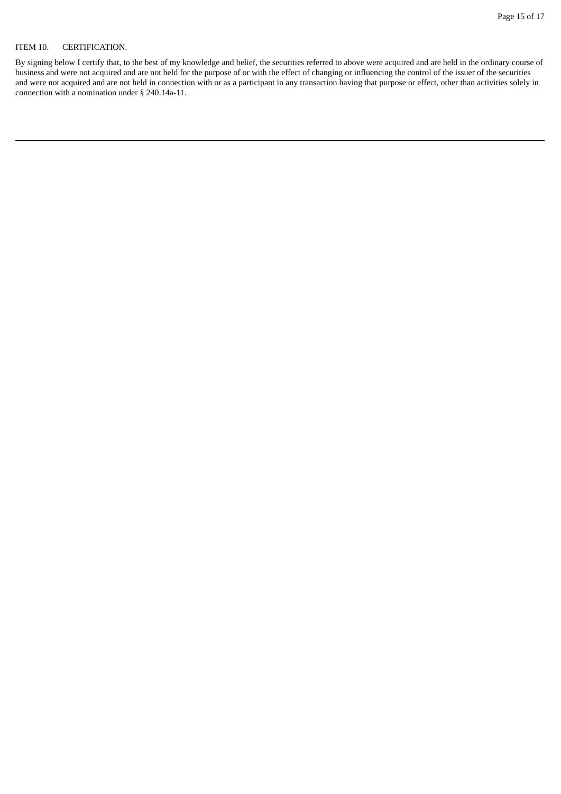### ITEM 10. CERTIFICATION.

By signing below I certify that, to the best of my knowledge and belief, the securities referred to above were acquired and are held in the ordinary course of business and were not acquired and are not held for the purpose of or with the effect of changing or influencing the control of the issuer of the securities and were not acquired and are not held in connection with or as a participant in any transaction having that purpose or effect, other than activities solely in connection with a nomination under § 240.14a-11.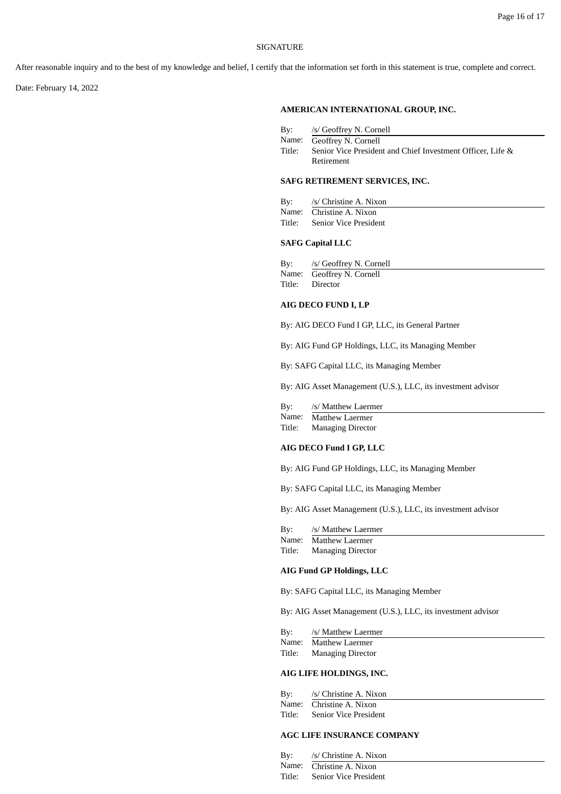#### SIGNATURE

After reasonable inquiry and to the best of my knowledge and belief, I certify that the information set forth in this statement is true, complete and correct.

Date: February 14, 2022

### **AMERICAN INTERNATIONAL GROUP, INC.**

| By:    | /s/ Geoffrey N. Cornell                                    |
|--------|------------------------------------------------------------|
|        | Name: Geoffrey N. Cornell                                  |
| Title: | Senior Vice President and Chief Investment Officer, Life & |
|        | Retirement                                                 |

### **SAFG RETIREMENT SERVICES, INC.**

| By: | /s/ Christine A. Nixon       |
|-----|------------------------------|
|     | Name: Christine A. Nixon     |
|     | Title: Senior Vice President |

### **SAFG Capital LLC**

By: /s/ Geoffrey N. Cornell Name: Geoffrey N. Cornell<br>Title: Director Director

### **AIG DECO FUND I, LP**

By: AIG DECO Fund I GP, LLC, its General Partner

By: AIG Fund GP Holdings, LLC, its Managing Member

By: SAFG Capital LLC, its Managing Member

By: AIG Asset Management (U.S.), LLC, its investment advisor

| Name:<br>Matthew Laermer |  |
|--------------------------|--|
|--------------------------|--|

Title: Managing Director

### **AIG DECO Fund I GP, LLC**

By: AIG Fund GP Holdings, LLC, its Managing Member

By: SAFG Capital LLC, its Managing Member

By: AIG Asset Management (U.S.), LLC, its investment advisor

| By:    | /s/ Matthew Laermer      |
|--------|--------------------------|
| Name:  | Matthew Laermer          |
| Title: | <b>Managing Director</b> |

#### **AIG Fund GP Holdings, LLC**

By: SAFG Capital LLC, its Managing Member

By: AIG Asset Management (U.S.), LLC, its investment advisor

| By:    | /s/ Matthew Laermer      |
|--------|--------------------------|
| Name:  | Matthew Laermer          |
| Title: | <b>Managing Director</b> |

### **AIG LIFE HOLDINGS, INC.**

| By:    | /s/ Christine A. Nixon   |
|--------|--------------------------|
|        | Name: Christine A. Nixon |
| Title: | Senior Vice President    |

#### **AGC LIFE INSURANCE COMPANY**

| Bv:    | /s/ Christine A. Nixon   |
|--------|--------------------------|
|        | Name: Christine A. Nixon |
| Title: | Senior Vice President    |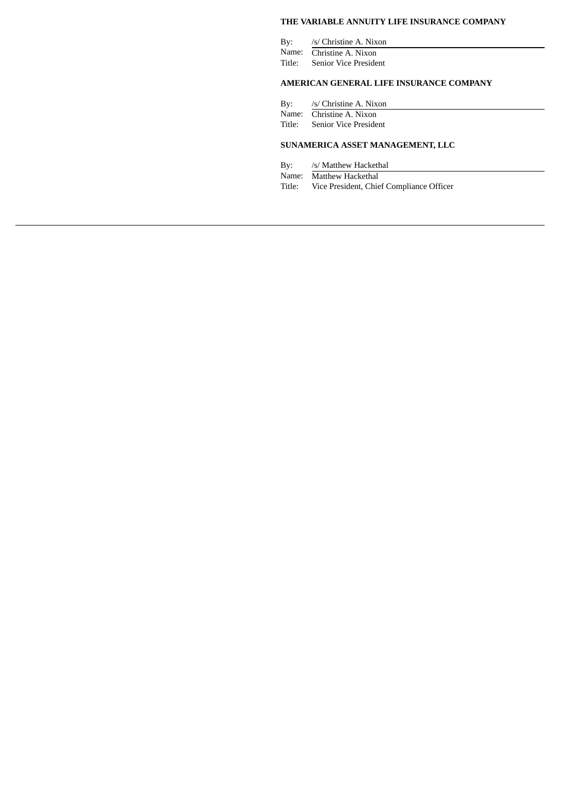### **THE VARIABLE ANNUITY LIFE INSURANCE COMPANY**

| Bv:   | /s/ Christine A. Nixon       |
|-------|------------------------------|
| Name: | Christine A. Nixon           |
|       | Title: Senior Vice President |

### **AMERICAN GENERAL LIFE INSURANCE COMPANY**

By: /s/ Christine A. Nixon Name: Christine A. Nixon Title: Senior Vice President

### **SUNAMERICA ASSET MANAGEMENT, LLC**

By: /s/ Matthew Hackethal Name: Matthew Hackethal Title: Vice President, Chief Compliance Officer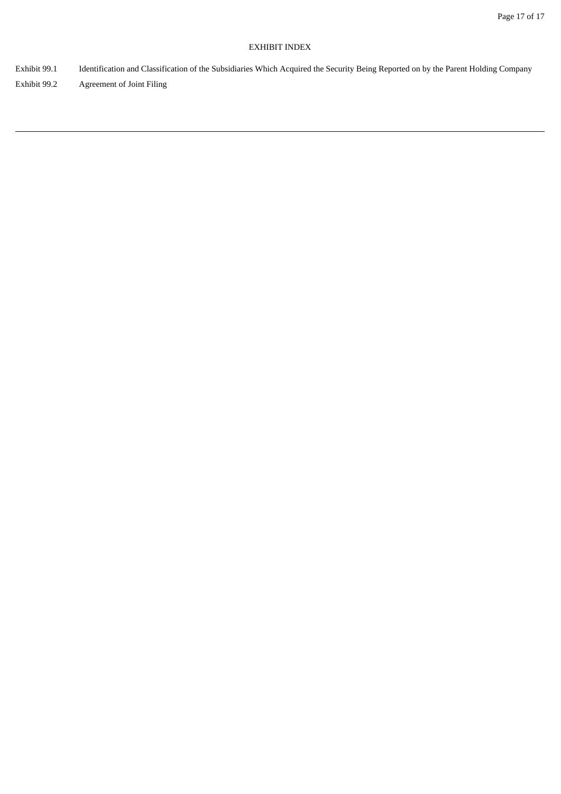### EXHIBIT INDEX

- Exhibit 99.1 Identification and Classification of the Subsidiaries Which Acquired the Security Being Reported on by the Parent Holding Company
- Exhibit 99.2 Agreement of Joint Filing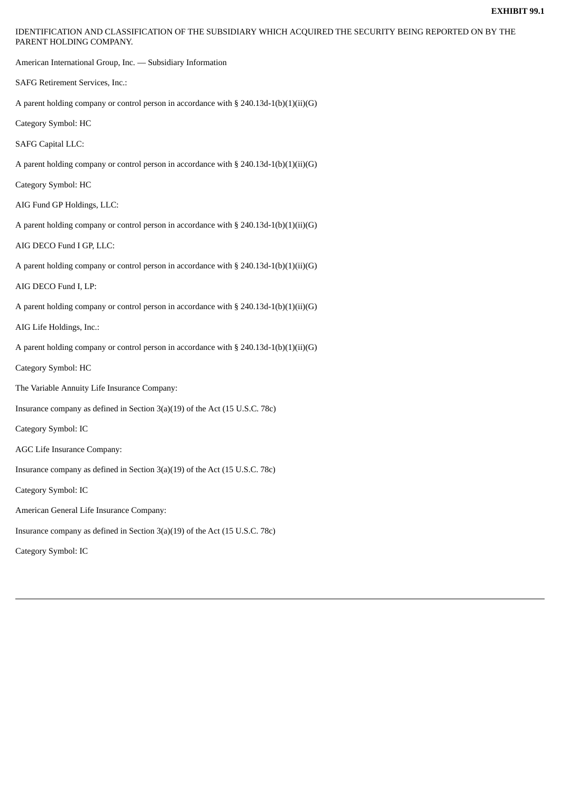IDENTIFICATION AND CLASSIFICATION OF THE SUBSIDIARY WHICH ACQUIRED THE SECURITY BEING REPORTED ON BY THE PARENT HOLDING COMPANY.

American International Group, Inc. — Subsidiary Information

SAFG Retirement Services, Inc.:

A parent holding company or control person in accordance with  $\S 240.13d-1(b)(1)(ii)(G)$ 

Category Symbol: HC

SAFG Capital LLC:

A parent holding company or control person in accordance with  $\S 240.13d-1(b)(1)(ii)(G)$ 

Category Symbol: HC

AIG Fund GP Holdings, LLC:

A parent holding company or control person in accordance with § 240.13d-1(b)(1)(ii)(G)

AIG DECO Fund I GP, LLC:

A parent holding company or control person in accordance with § 240.13d-1(b)(1)(ii)(G)

AIG DECO Fund I, LP:

A parent holding company or control person in accordance with § 240.13d-1(b)(1)(ii)(G)

AIG Life Holdings, Inc.:

A parent holding company or control person in accordance with § 240.13d-1(b)(1)(ii)(G)

Category Symbol: HC

The Variable Annuity Life Insurance Company:

Insurance company as defined in Section 3(a)(19) of the Act (15 U.S.C. 78c)

Category Symbol: IC

AGC Life Insurance Company:

Insurance company as defined in Section 3(a)(19) of the Act (15 U.S.C. 78c)

Category Symbol: IC

American General Life Insurance Company:

Insurance company as defined in Section 3(a)(19) of the Act (15 U.S.C. 78c)

Category Symbol: IC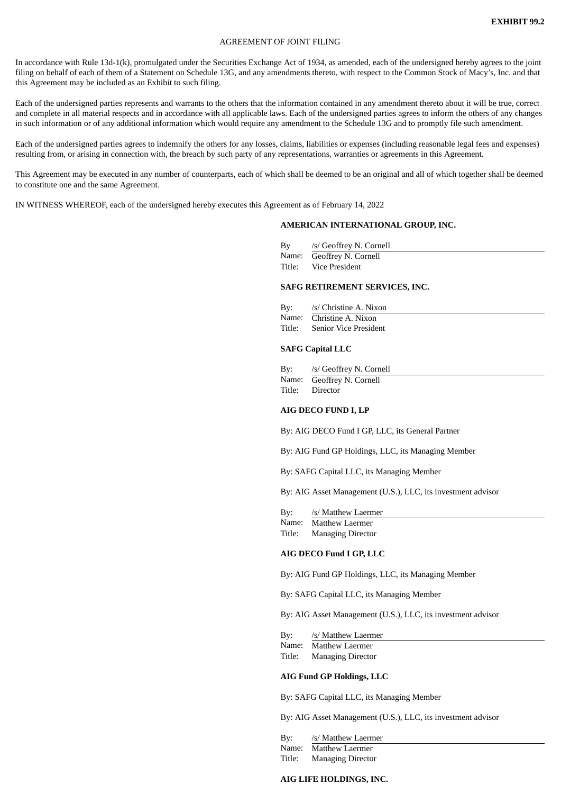#### AGREEMENT OF JOINT FILING

In accordance with Rule 13d-1(k), promulgated under the Securities Exchange Act of 1934, as amended, each of the undersigned hereby agrees to the joint filing on behalf of each of them of a Statement on Schedule 13G, and any amendments thereto, with respect to the Common Stock of Macy's, Inc. and that this Agreement may be included as an Exhibit to such filing.

Each of the undersigned parties represents and warrants to the others that the information contained in any amendment thereto about it will be true, correct and complete in all material respects and in accordance with all applicable laws. Each of the undersigned parties agrees to inform the others of any changes in such information or of any additional information which would require any amendment to the Schedule 13G and to promptly file such amendment.

Each of the undersigned parties agrees to indemnify the others for any losses, claims, liabilities or expenses (including reasonable legal fees and expenses) resulting from, or arising in connection with, the breach by such party of any representations, warranties or agreements in this Agreement.

This Agreement may be executed in any number of counterparts, each of which shall be deemed to be an original and all of which together shall be deemed to constitute one and the same Agreement.

IN WITNESS WHEREOF, each of the undersigned hereby executes this Agreement as of February 14, 2022

### **AMERICAN INTERNATIONAL GROUP, INC.**

| By     | /s/ Geoffrey N. Cornell   |
|--------|---------------------------|
|        | Name: Geoffrey N. Cornell |
| Title: | Vice President            |

#### **SAFG RETIREMENT SERVICES, INC.**

| By: | /s/ Christine A. Nixon       |
|-----|------------------------------|
|     | Name: Christine A. Nixon     |
|     | Title: Senior Vice President |

#### **SAFG Capital LLC**

| By:    | /s/ Geoffrey N. Cornell   |
|--------|---------------------------|
|        | Name: Geoffrey N. Cornell |
| Title: | Director                  |

#### **AIG DECO FUND I, LP**

By: AIG DECO Fund I GP, LLC, its General Partner

By: AIG Fund GP Holdings, LLC, its Managing Member

By: SAFG Capital LLC, its Managing Member

By: AIG Asset Management (U.S.), LLC, its investment advisor

| By:    | /s/ Matthew Laermer      |
|--------|--------------------------|
|        | Name: Matthew Laermer    |
| Title: | <b>Managing Director</b> |

#### **AIG DECO Fund I GP, LLC**

By: AIG Fund GP Holdings, LLC, its Managing Member

By: SAFG Capital LLC, its Managing Member

By: AIG Asset Management (U.S.), LLC, its investment advisor

By: /s/ Matthew Laermer

Name: Matthew Laermer Title: Managing Director

#### **AIG Fund GP Holdings, LLC**

By: SAFG Capital LLC, its Managing Member

By: AIG Asset Management (U.S.), LLC, its investment advisor

By: /s/ Matthew Laermer

Name: Matthew Laermer Title: Managing Director

### **AIG LIFE HOLDINGS, INC.**